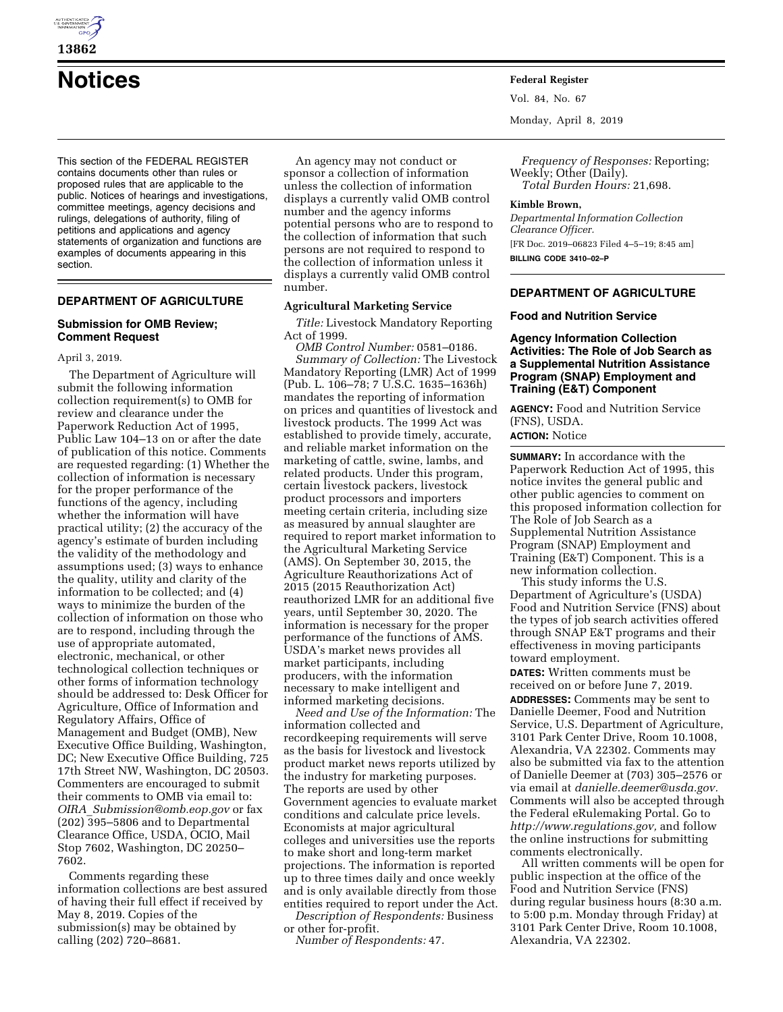

# **Notices Federal Register**

This section of the FEDERAL REGISTER contains documents other than rules or proposed rules that are applicable to the public. Notices of hearings and investigations, committee meetings, agency decisions and rulings, delegations of authority, filing of petitions and applications and agency statements of organization and functions are examples of documents appearing in this section.

# **DEPARTMENT OF AGRICULTURE**

## **Submission for OMB Review; Comment Request**

April 3, 2019.

The Department of Agriculture will submit the following information collection requirement(s) to OMB for review and clearance under the Paperwork Reduction Act of 1995, Public Law 104–13 on or after the date of publication of this notice. Comments are requested regarding: (1) Whether the collection of information is necessary for the proper performance of the functions of the agency, including whether the information will have practical utility; (2) the accuracy of the agency's estimate of burden including the validity of the methodology and assumptions used; (3) ways to enhance the quality, utility and clarity of the information to be collected; and (4) ways to minimize the burden of the collection of information on those who are to respond, including through the use of appropriate automated, electronic, mechanical, or other technological collection techniques or other forms of information technology should be addressed to: Desk Officer for Agriculture, Office of Information and Regulatory Affairs, Office of Management and Budget (OMB), New Executive Office Building, Washington, DC; New Executive Office Building, 725 17th Street NW, Washington, DC 20503. Commenters are encouraged to submit their comments to OMB via email to: *OIRA*\_*[Submission@omb.eop.gov](mailto:OIRA_Submission@omb.eop.gov)* or fax (202) 395–5806 and to Departmental Clearance Office, USDA, OCIO, Mail Stop 7602, Washington, DC 20250– 7602.

Comments regarding these information collections are best assured of having their full effect if received by May 8, 2019. Copies of the submission(s) may be obtained by calling (202) 720–8681.

An agency may not conduct or sponsor a collection of information unless the collection of information displays a currently valid OMB control number and the agency informs potential persons who are to respond to the collection of information that such persons are not required to respond to the collection of information unless it displays a currently valid OMB control number.

#### **Agricultural Marketing Service**

*Title:* Livestock Mandatory Reporting Act of 1999.

*OMB Control Number:* 0581–0186. *Summary of Collection:* The Livestock Mandatory Reporting (LMR) Act of 1999 (Pub. L. 106–78; 7 U.S.C. 1635–1636h) mandates the reporting of information on prices and quantities of livestock and livestock products. The 1999 Act was established to provide timely, accurate, and reliable market information on the marketing of cattle, swine, lambs, and related products. Under this program, certain livestock packers, livestock product processors and importers meeting certain criteria, including size as measured by annual slaughter are required to report market information to the Agricultural Marketing Service (AMS). On September 30, 2015, the Agriculture Reauthorizations Act of 2015 (2015 Reauthorization Act) reauthorized LMR for an additional five years, until September 30, 2020. The information is necessary for the proper performance of the functions of AMS. USDA's market news provides all market participants, including producers, with the information necessary to make intelligent and informed marketing decisions.

*Need and Use of the Information:* The information collected and recordkeeping requirements will serve as the basis for livestock and livestock product market news reports utilized by the industry for marketing purposes. The reports are used by other Government agencies to evaluate market conditions and calculate price levels. Economists at major agricultural colleges and universities use the reports to make short and long-term market projections. The information is reported up to three times daily and once weekly and is only available directly from those entities required to report under the Act.

*Description of Respondents:* Business or other for-profit.

*Number of Respondents:* 47.

Vol. 84, No. 67

Monday, April 8, 2019

*Frequency of Responses:* Reporting; Weekly; Other (Daily). *Total Burden Hours:* 21,698.

#### **Kimble Brown,**

*Departmental Information Collection Clearance Officer.*  [FR Doc. 2019–06823 Filed 4–5–19; 8:45 am] **BILLING CODE 3410–02–P** 

## **DEPARTMENT OF AGRICULTURE**

#### **Food and Nutrition Service**

**Agency Information Collection Activities: The Role of Job Search as a Supplemental Nutrition Assistance Program (SNAP) Employment and Training (E&T) Component** 

**AGENCY:** Food and Nutrition Service (FNS), USDA.

# **ACTION:** Notice

**SUMMARY:** In accordance with the Paperwork Reduction Act of 1995, this notice invites the general public and other public agencies to comment on this proposed information collection for The Role of Job Search as a Supplemental Nutrition Assistance Program (SNAP) Employment and Training (E&T) Component. This is a new information collection. This study informs the U.S.

Department of Agriculture's (USDA) Food and Nutrition Service (FNS) about the types of job search activities offered through SNAP E&T programs and their effectiveness in moving participants toward employment.

**DATES:** Written comments must be received on or before June 7, 2019.

**ADDRESSES:** Comments may be sent to Danielle Deemer, Food and Nutrition Service, U.S. Department of Agriculture, 3101 Park Center Drive, Room 10.1008, Alexandria, VA 22302. Comments may also be submitted via fax to the attention of Danielle Deemer at (703) 305–2576 or via email at *[danielle.deemer@usda.gov.](mailto:danielle.deemer@usda.gov)*  Comments will also be accepted through the Federal eRulemaking Portal. Go to *[http://www.regulations.gov,](http://www.regulations.gov)* and follow the online instructions for submitting comments electronically.

All written comments will be open for public inspection at the office of the Food and Nutrition Service (FNS) during regular business hours (8:30 a.m. to 5:00 p.m. Monday through Friday) at 3101 Park Center Drive, Room 10.1008, Alexandria, VA 22302.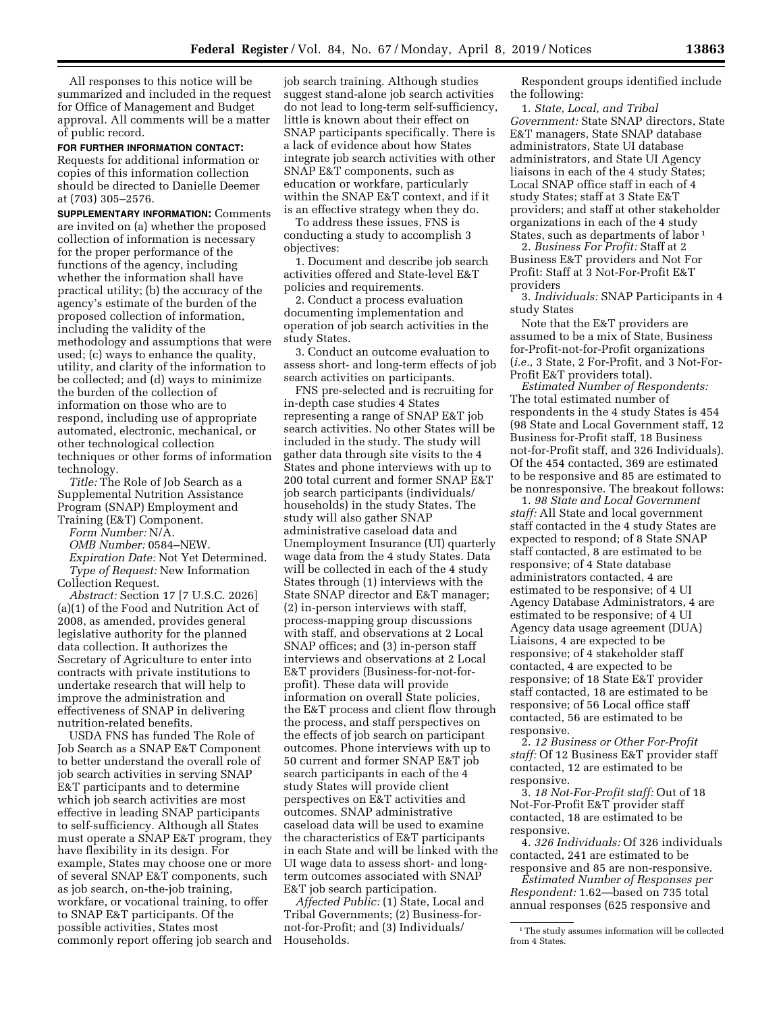All responses to this notice will be summarized and included in the request for Office of Management and Budget approval. All comments will be a matter of public record.

**FOR FURTHER INFORMATION CONTACT:** 

Requests for additional information or copies of this information collection should be directed to Danielle Deemer at (703) 305–2576.

**SUPPLEMENTARY INFORMATION:** Comments are invited on (a) whether the proposed collection of information is necessary for the proper performance of the functions of the agency, including whether the information shall have practical utility; (b) the accuracy of the agency's estimate of the burden of the proposed collection of information, including the validity of the methodology and assumptions that were used; (c) ways to enhance the quality, utility, and clarity of the information to be collected; and (d) ways to minimize the burden of the collection of information on those who are to respond, including use of appropriate automated, electronic, mechanical, or other technological collection techniques or other forms of information technology.

*Title:* The Role of Job Search as a Supplemental Nutrition Assistance Program (SNAP) Employment and Training (E&T) Component.

*Form Number:* N/A. *OMB Number:* 0584–NEW. *Expiration Date:* Not Yet Determined. *Type of Request:* New Information Collection Request.

*Abstract:* Section 17 [7 U.S.C. 2026] (a)(1) of the Food and Nutrition Act of 2008, as amended, provides general legislative authority for the planned data collection. It authorizes the Secretary of Agriculture to enter into contracts with private institutions to undertake research that will help to improve the administration and effectiveness of SNAP in delivering nutrition-related benefits.

USDA FNS has funded The Role of Job Search as a SNAP E&T Component to better understand the overall role of job search activities in serving SNAP E&T participants and to determine which job search activities are most effective in leading SNAP participants to self-sufficiency. Although all States must operate a SNAP E&T program, they have flexibility in its design. For example, States may choose one or more of several SNAP E&T components, such as job search, on-the-job training, workfare, or vocational training, to offer to SNAP E&T participants. Of the possible activities, States most commonly report offering job search and

job search training. Although studies suggest stand-alone job search activities do not lead to long-term self-sufficiency, little is known about their effect on SNAP participants specifically. There is a lack of evidence about how States integrate job search activities with other SNAP E&T components, such as education or workfare, particularly within the SNAP E&T context, and if it is an effective strategy when they do.

To address these issues, FNS is conducting a study to accomplish 3 objectives:

1. Document and describe job search activities offered and State-level E&T policies and requirements.

2. Conduct a process evaluation documenting implementation and operation of job search activities in the study States.

3. Conduct an outcome evaluation to assess short- and long-term effects of job search activities on participants.

FNS pre-selected and is recruiting for in-depth case studies 4 States representing a range of SNAP E&T job search activities. No other States will be included in the study. The study will gather data through site visits to the 4 States and phone interviews with up to 200 total current and former SNAP E&T job search participants (individuals/ households) in the study States. The study will also gather SNAP administrative caseload data and Unemployment Insurance (UI) quarterly wage data from the 4 study States. Data will be collected in each of the 4 study States through (1) interviews with the State SNAP director and E&T manager; (2) in-person interviews with staff, process-mapping group discussions with staff, and observations at 2 Local SNAP offices; and (3) in-person staff interviews and observations at 2 Local E&T providers (Business-for-not-forprofit). These data will provide information on overall State policies, the E&T process and client flow through the process, and staff perspectives on the effects of job search on participant outcomes. Phone interviews with up to 50 current and former SNAP E&T job search participants in each of the 4 study States will provide client perspectives on E&T activities and outcomes. SNAP administrative caseload data will be used to examine the characteristics of E&T participants in each State and will be linked with the UI wage data to assess short- and longterm outcomes associated with SNAP E&T job search participation.

*Affected Public:* (1) State, Local and Tribal Governments; (2) Business-fornot-for-Profit; and (3) Individuals/ Households.

Respondent groups identified include the following:

1. *State, Local, and Tribal Government:* State SNAP directors, State E&T managers, State SNAP database administrators, State UI database administrators, and State UI Agency liaisons in each of the 4 study States; Local SNAP office staff in each of 4 study States; staff at 3 State E&T providers; and staff at other stakeholder organizations in each of the 4 study States, such as departments of labor 1

2. *Business For Profit:* Staff at 2 Business E&T providers and Not For Profit: Staff at 3 Not-For-Profit E&T providers

3. *Individuals:* SNAP Participants in 4 study States

Note that the E&T providers are assumed to be a mix of State, Business for-Profit-not-for-Profit organizations (*i.e.,* 3 State, 2 For-Profit, and 3 Not-For-Profit E&T providers total).

*Estimated Number of Respondents:*  The total estimated number of respondents in the 4 study States is 454 (98 State and Local Government staff, 12 Business for-Profit staff, 18 Business not-for-Profit staff, and 326 Individuals). Of the 454 contacted, 369 are estimated to be responsive and 85 are estimated to be nonresponsive. The breakout follows:

1. *98 State and Local Government staff:* All State and local government staff contacted in the 4 study States are expected to respond; of 8 State SNAP staff contacted, 8 are estimated to be responsive; of 4 State database administrators contacted, 4 are estimated to be responsive; of 4 UI Agency Database Administrators, 4 are estimated to be responsive; of 4 UI Agency data usage agreement (DUA) Liaisons, 4 are expected to be responsive; of 4 stakeholder staff contacted, 4 are expected to be responsive; of 18 State E&T provider staff contacted, 18 are estimated to be responsive; of 56 Local office staff contacted, 56 are estimated to be responsive.

2. *12 Business or Other For-Profit staff:* Of 12 Business E&T provider staff contacted, 12 are estimated to be responsive.

3. *18 Not-For-Profit staff:* Out of 18 Not-For-Profit E&T provider staff contacted, 18 are estimated to be responsive.

4. *326 Individuals:* Of 326 individuals contacted, 241 are estimated to be responsive and 85 are non-responsive.

*Estimated Number of Responses per Respondent:* 1.62—based on 735 total annual responses (625 responsive and

<sup>&</sup>lt;sup>1</sup>The study assumes information will be collected from 4 States.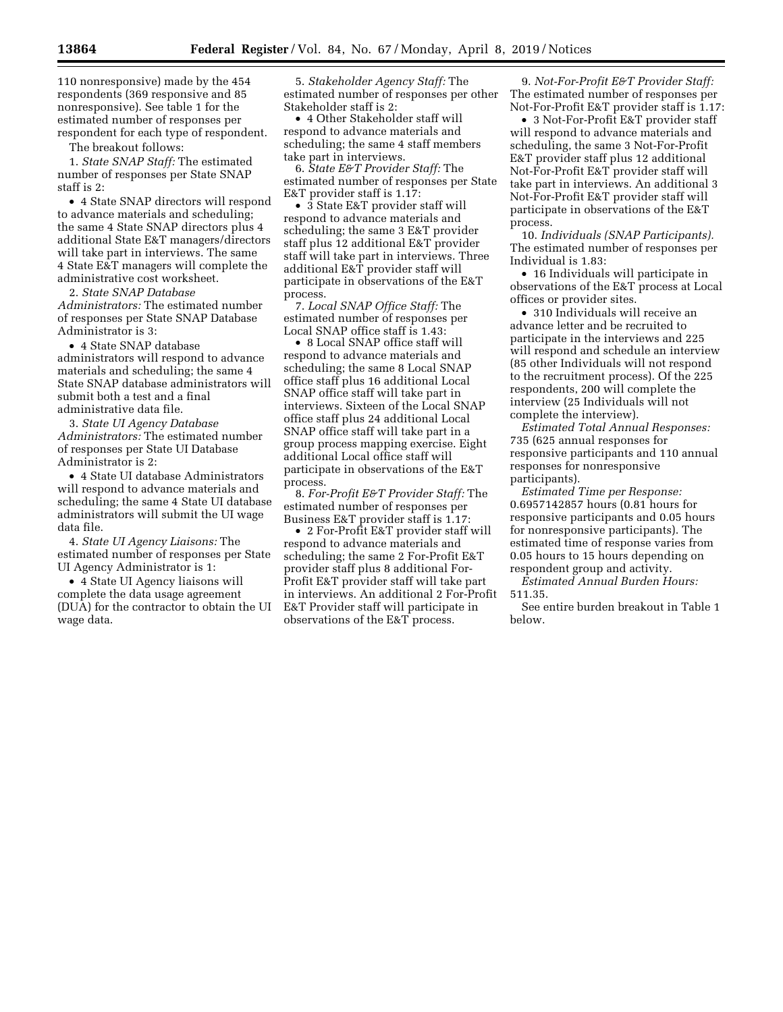110 nonresponsive) made by the 454 respondents (369 responsive and 85 nonresponsive). See table 1 for the estimated number of responses per respondent for each type of respondent.

The breakout follows:

1. *State SNAP Staff:* The estimated number of responses per State SNAP staff is 2:

• 4 State SNAP directors will respond to advance materials and scheduling; the same 4 State SNAP directors plus 4 additional State E&T managers/directors will take part in interviews. The same 4 State E&T managers will complete the administrative cost worksheet.

2. *State SNAP Database* 

*Administrators:* The estimated number of responses per State SNAP Database Administrator is 3:

• 4 State SNAP database administrators will respond to advance materials and scheduling; the same 4 State SNAP database administrators will submit both a test and a final administrative data file.

3. *State UI Agency Database Administrators:* The estimated number of responses per State UI Database Administrator is 2:

• 4 State UI database Administrators will respond to advance materials and scheduling; the same 4 State UI database administrators will submit the UI wage data file.

4. *State UI Agency Liaisons:* The estimated number of responses per State UI Agency Administrator is 1:

• 4 State UI Agency liaisons will complete the data usage agreement (DUA) for the contractor to obtain the UI wage data.

5. *Stakeholder Agency Staff:* The estimated number of responses per other Stakeholder staff is 2:

• 4 Other Stakeholder staff will respond to advance materials and scheduling; the same 4 staff members take part in interviews.

6. *State E&T Provider Staff:* The estimated number of responses per State E&T provider staff is 1.17:

• 3 State E&T provider staff will respond to advance materials and scheduling; the same 3 E&T provider staff plus 12 additional E&T provider staff will take part in interviews. Three additional E&T provider staff will participate in observations of the E&T process.

7. *Local SNAP Office Staff:* The estimated number of responses per Local SNAP office staff is 1.43:

• 8 Local SNAP office staff will respond to advance materials and scheduling; the same 8 Local SNAP office staff plus 16 additional Local SNAP office staff will take part in interviews. Sixteen of the Local SNAP office staff plus 24 additional Local SNAP office staff will take part in a group process mapping exercise. Eight additional Local office staff will participate in observations of the E&T process.

8. *For-Profit E&T Provider Staff:* The estimated number of responses per Business E&T provider staff is 1.17:

• 2 For-Profit E&T provider staff will respond to advance materials and scheduling; the same 2 For-Profit E&T provider staff plus 8 additional For-Profit E&T provider staff will take part in interviews. An additional 2 For-Profit E&T Provider staff will participate in observations of the E&T process.

9. *Not-For-Profit E&T Provider Staff:*  The estimated number of responses per Not-For-Profit E&T provider staff is 1.17:

• 3 Not-For-Profit E&T provider staff will respond to advance materials and scheduling, the same 3 Not-For-Profit E&T provider staff plus 12 additional Not-For-Profit E&T provider staff will take part in interviews. An additional 3 Not-For-Profit E&T provider staff will participate in observations of the E&T process.

10. *Individuals (SNAP Participants).*  The estimated number of responses per Individual is 1.83:

• 16 Individuals will participate in observations of the E&T process at Local offices or provider sites.

• 310 Individuals will receive an advance letter and be recruited to participate in the interviews and 225 will respond and schedule an interview (85 other Individuals will not respond to the recruitment process). Of the 225 respondents, 200 will complete the interview (25 Individuals will not complete the interview).

*Estimated Total Annual Responses:*  735 (625 annual responses for responsive participants and 110 annual responses for nonresponsive participants).

*Estimated Time per Response:*  0.6957142857 hours (0.81 hours for responsive participants and 0.05 hours for nonresponsive participants). The estimated time of response varies from 0.05 hours to 15 hours depending on respondent group and activity.

*Estimated Annual Burden Hours:*  511.35.

See entire burden breakout in Table 1 below.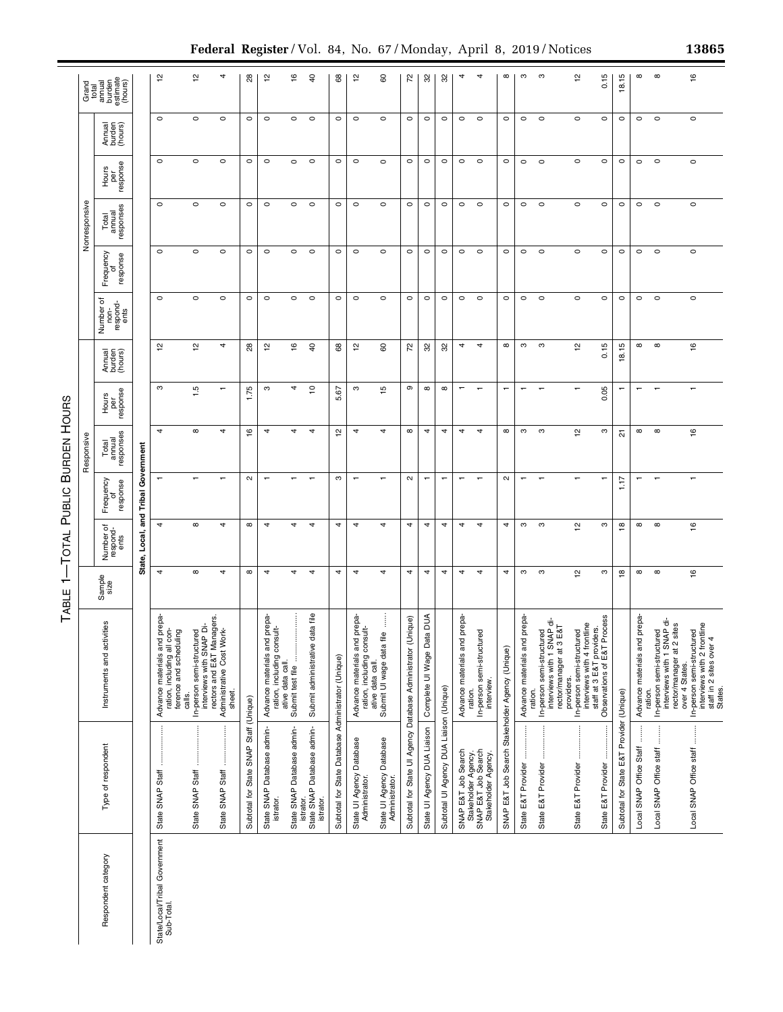|                                             |                                                                                                |                                                                                                                        | ↽<br>ABLE      | <b>DTAL</b>                        | PUBLIC BURDEN HOURS         |                              |                          |                             |                                       |                            |                              |                          |                            |                                                                       |
|---------------------------------------------|------------------------------------------------------------------------------------------------|------------------------------------------------------------------------------------------------------------------------|----------------|------------------------------------|-----------------------------|------------------------------|--------------------------|-----------------------------|---------------------------------------|----------------------------|------------------------------|--------------------------|----------------------------|-----------------------------------------------------------------------|
|                                             |                                                                                                |                                                                                                                        |                |                                    |                             | Responsive                   |                          |                             |                                       |                            | Nonresponsive                |                          |                            |                                                                       |
| Respondent category                         | Type of respondent                                                                             | Instruments and activities                                                                                             | Sample<br>size | ৳<br>Number of<br>respond-<br>ents | Frequency<br>of<br>response | Total<br>annual<br>responses | Hours<br>per<br>response | Annual<br>burden<br>(hours) | Number of<br>non-<br>respond-<br>ents | Frequency<br>response<br>ᅙ | Total<br>annual<br>responses | Hours<br>per<br>response | Amual<br>burden<br>(hours) | Grand<br>total<br>annual<br>burden<br>estimate<br>estimate<br>(hours) |
|                                             |                                                                                                |                                                                                                                        |                | State, Local,                      | and Tribal                  | Government                   |                          |                             |                                       |                            |                              |                          |                            |                                                                       |
| State/Local/Tribal Government<br>Sub-Total. | State SNAP Staff                                                                               | Advance materials and prepa<br>con-<br>ference and scheduling<br>ration, including all<br>calls.                       | 4              | 4                                  |                             | 4                            | S                        | $\frac{1}{2}$               | $\circ$                               | $\circ$                    | $\circ$                      | $\circ$                  | $\circ$                    | ᅌ                                                                     |
|                                             | State SNAP Staff                                                                               | interviews with SNAP Di-<br>In-person semi-structured                                                                  | $\infty$       | $\infty$                           |                             | $\infty$                     | 1.5                      | $\frac{1}{2}$               | $\circ$                               | $\circ$                    | $\circ$                      | $\circ$                  | $\circ$                    | 얻                                                                     |
|                                             | State SNAP Staff                                                                               | rectors and E&T Managers<br>Administrative Cost Work-<br>sheet.                                                        | 4              | 4                                  | $\overline{ }$              | 4                            | $\overline{ }$           | 4                           | $\circ$                               | $\circ$                    | $\circ$                      | $\circ$                  | $\circ$                    | 4                                                                     |
|                                             | Subtotal for State SNAP Staff (Unique)                                                         |                                                                                                                        | $\infty$       | $\infty$                           | $\mathbf{\alpha}$           | $\frac{6}{2}$                | 1.75                     | 28                          | $\circ$                               | $\circ$                    | $\circ$                      | $\circ$                  | $\circ$                    | 88                                                                    |
|                                             | State SNAP Database admin-<br><b>istrator</b>                                                  | Advance materials and prepa-<br>ration, including consult-                                                             | 4              | 4                                  | $\mathbf$                   | 4                            | S                        | $\frac{1}{2}$               | $\circ$                               | $\circ$                    | $\circ$                      | $\circ$                  | $\circ$                    | $\tilde{5}$                                                           |
|                                             | State SNAP Database admin-                                                                     | Submit test file<br>ative data call.                                                                                   | 4              | 4                                  |                             | 4                            | 4                        | $\frac{6}{1}$               | $\circ$                               | $\circ$                    | $\circ$                      | $\circ$                  | $\circ$                    | ۽                                                                     |
|                                             | State SNAP Database admin-<br>istrator.<br>istrator.                                           | data file<br>Submit administrative                                                                                     | 4              | 4                                  |                             | 4                            | $\overline{c}$           | $\overline{a}$              | $\circ$                               | $\circ$                    | $\circ$                      | $\circ$                  | $\circ$                    | $\theta$                                                              |
|                                             | Subtotal for State Database Administrator (Unique)                                             |                                                                                                                        | 4              | 4                                  | S                           | 일                            | 5.67                     | 68                          | $\circ$                               | $\circ$                    | $\circ$                      | $\circ$                  | $\circ$                    | 8                                                                     |
|                                             | State UI Agency Database<br>Administrato                                                       | Advance materials and prepa-<br>ration, including consult-                                                             | 4              | 4                                  | $\mathbf$                   | 4                            | S                        | $\frac{1}{2}$               | $\circ$                               | $\circ$                    | $\circ$                      | $\circ$                  | $\circ$                    | 은                                                                     |
|                                             | State UI Agency Database<br>Administrator.                                                     | ÷<br>file<br>Submit UI wage data<br>ative data call.                                                                   | 4              | 4                                  | $\overline{ }$              | 4                            | $\frac{15}{2}$           | 8                           | $\circ$                               | $\circ$                    | $\circ$                      | $\circ$                  | $\circ$                    | 8                                                                     |
|                                             | Subtotal for State UI Agency Database Administrator (Unique)                                   |                                                                                                                        | 4              | 4                                  | $\sim$                      | $\infty$                     | თ                        | 72                          | $\circ$                               | $\circ$                    | $\circ$                      | $\circ$                  | $\circ$                    | 52                                                                    |
|                                             | State UI Agency DUA Liaison                                                                    | Complete UI Wage Data DUA                                                                                              | 4              | 4                                  | $\overline{\phantom{m}}$    | 4                            | $\infty$                 | 32                          | $\circ$                               | $\circ$                    | $\circ$                      | $\circ$                  | $\circ$                    | ೫                                                                     |
|                                             | Subtotal UI Agency DUA Liaison (Unique)                                                        |                                                                                                                        | 4              | 4                                  | $\overline{ }$              | 4                            | $\infty$                 | 82                          | $\circ$                               | $\circ$                    | $\circ$                      | $\circ$                  | $\circ$                    | ಜ                                                                     |
|                                             | SNAP E&T Job Search                                                                            | Advance materials and prepa                                                                                            | 4              | 4                                  | ÷                           | 4                            | $\mathbf$                | 4                           | $\circ$                               | $\circ$                    | $\circ$                      | $\circ$                  | $\circ$                    | 4                                                                     |
|                                             | Stakeholder Agency.<br>SNAP E&T Job Search<br>Stakeholder Agency                               | In-person semi-structured<br>interview<br>ration.                                                                      | 4              | 4                                  | ٠                           | 4                            | ↽                        | 4                           | $\circ$                               | $\circ$                    | $\circ$                      | $\circ$                  | $\circ$                    | 4                                                                     |
|                                             | SNAP E&T Job Search Stakeholder Agency (Unique)                                                |                                                                                                                        | 4              | 4                                  | $\mathbf{\alpha}$           | $\infty$                     | ۳                        | $\infty$                    | $\circ$                               | $\circ$                    | $\circ$                      | $\circ$                  | $\circ$                    | $\infty$                                                              |
|                                             | State E&T Provider                                                                             | Advance materials and prepa<br>ration.                                                                                 | S              | S                                  |                             | S                            |                          | S                           | $\circ$                               | $\circ$                    | $\circ$                      | $\circ$                  | $\circ$                    | ო                                                                     |
|                                             | State E&T Provider                                                                             | In-person semi-structured<br>interviews with 1 SNAP di-<br>rector/manager at 3 E&T                                     | S              | ო                                  |                             | ო                            |                          | ო                           | $\circ$                               | $\circ$                    | $\circ$                      | $\circ$                  | $\circ$                    | S                                                                     |
|                                             |                                                                                                | In-person semi-structured<br>providers.                                                                                | $\frac{1}{2}$  | $\frac{1}{2}$                      |                             | 으                            |                          | 으                           | $\circ$                               | $\circ$                    | $\circ$                      | $\circ$                  | $\circ$                    | 은                                                                     |
|                                             | State E&T Provider                                                                             | Process<br>interviews with 4 frontline<br>staff at 3 E&T providers.<br>Observations of E&T Proces                      | S              | S                                  | $\overline{\phantom{0}}$    | ო                            | 0.05                     | 0.15                        | $\circ$                               | $\circ$                    | $\circ$                      | $\circ$                  | $\circ$                    | 0.15                                                                  |
|                                             | Subtotal for State E&T Provider (Unique)                                                       |                                                                                                                        | $\frac{8}{1}$  | $\mathbf{\underline{\omega}}$      | 1.17                        | 짒                            |                          | 18.15                       | $\circ$                               | $\circ$                    | $\circ$                      | $\circ$                  | $\circ$                    | 18.15                                                                 |
|                                             | $\begin{array}{c} \vdots \\ \vdots \\ \vdots \\ \vdots \end{array}$<br>Local SNAP Office Staff | Advance materials and prepa-<br>ration.                                                                                | $^\infty$      | $\infty$                           |                             | $^\infty$                    |                          | $^\infty$                   | $\circ$                               | $\circ$                    | $\circ$                      | $\circ$                  | $\circ$                    | $\infty$                                                              |
|                                             | Local SNAP Office staff                                                                        | In-person semi-structured<br>interviews with 1 SNAP di-<br>rector/manager at 2 sites                                   | $\infty$       | $\infty$                           |                             | $\infty$                     |                          | $^\infty$                   | $\circ$                               | $\circ$                    | $\circ$                      | $\circ$                  | $\circ$                    | $\infty$                                                              |
|                                             | Local SNAP Office staff                                                                        | interviews with 2 frontline<br>staff in 2 sites over 4<br>In-person semi-structured<br>over 4 States.<br><b>States</b> | $\frac{6}{1}$  | $\frac{6}{1}$                      |                             | $\frac{6}{2}$                |                          | $\frac{6}{1}$               | $\circ$                               | $\circ$                    | $\circ$                      | $\circ$                  | $\circ$                    | $\frac{6}{2}$                                                         |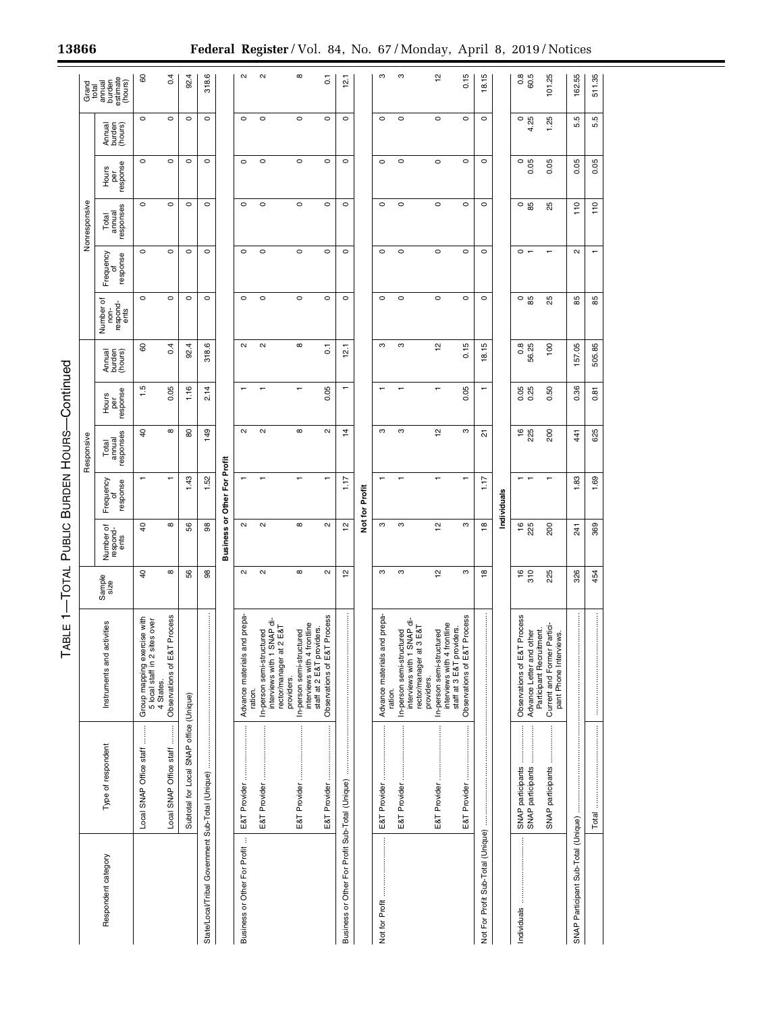|                                                  |                                                                   | ↽<br>ш<br>TABL                                                                                    | $-$ TOTAL           | PUBLIC                        |                             | <b>BURDEN HOURS-Continued</b> |                          |                             |                                       |                            |                              |                          |                             |                                         |
|--------------------------------------------------|-------------------------------------------------------------------|---------------------------------------------------------------------------------------------------|---------------------|-------------------------------|-----------------------------|-------------------------------|--------------------------|-----------------------------|---------------------------------------|----------------------------|------------------------------|--------------------------|-----------------------------|-----------------------------------------|
|                                                  |                                                                   |                                                                                                   |                     |                               |                             | Responsive                    |                          |                             |                                       |                            | Nonresponsive                |                          |                             | Grand<br>total                          |
| Respondent category                              | Type of respondent                                                | ies<br>Instruments and activit                                                                    | Sample<br>size      | Number of<br>respond-<br>ents | Frequency<br>of<br>response | responses<br>Total<br>amual   | response<br>Hours<br>per | Annual<br>burden<br>(hours) | Number of<br>non-<br>respond-<br>ents | Frequency<br>response<br>ō | responses<br>Total<br>annual | response<br>Hours<br>per | Annual<br>burden<br>(hours) | annual<br>burden<br>estimate<br>(hours) |
|                                                  | Local SNAP Office staff                                           | Group mapping exercise with<br>5 local staff in 2 sites over<br>4 States.                         | $\overline{a}$      | $\overline{a}$                |                             | ੩                             | 1.5                      | 60                          | $\circ$                               | $\circ$                    | $\circ$                      | $\circ$                  | $\circ$                     | 8                                       |
|                                                  | Local SNAP Office staff                                           | Observations of E&T Process                                                                       | $^\infty$           | $^\infty$                     |                             | $^\infty$                     | 0.05                     | 0.4                         | $\circ$                               | $\circ$                    | $\circ$                      | $\circ$                  | $\circ$                     | 0.4                                     |
|                                                  | Subtotal for Local SNAP office (Unique)                           |                                                                                                   | 56                  | 56                            | 43                          | 8                             | 1.16                     | 92.4                        | $\circ$                               | $\circ$                    | $\circ$                      | $\circ$                  | $\circ$                     | 92.4                                    |
| State/Local/Tribal Government Sub-Total (Unique) |                                                                   |                                                                                                   | 88                  | 88                            | 52                          | 149                           | 2.14                     | 318.6                       | $\circ$                               | $\circ$                    | $\circ$                      | $\circ$                  | $\circ$                     | 318.6                                   |
|                                                  |                                                                   |                                                                                                   |                     | <b>Business</b>               | or Other For Profit         |                               |                          |                             |                                       |                            |                              |                          |                             |                                         |
| Business or Other For Profit                     |                                                                   | Advance materials and prepa-<br>ration.                                                           | $\sim$              | $\mathbf{\alpha}$             |                             | $\mathbf{\Omega}$             |                          | $\sim$                      | $\circ$                               | $\circ$                    | $\circ$                      | $\circ$                  | $\circ$                     | $\mathbf{\alpha}$                       |
|                                                  |                                                                   | $\dot{\vec{\sigma}}$<br>$\Omega$<br>In-person semi-structured<br>interviews with 1 SNA            | $\mathbf{\Omega}$   | $\mathbf{\alpha}$             |                             | $\sim$                        |                          | $\mathbf{\Omega}$           | $\circ$                               | $\circ$                    | $\circ$                      | $\circ$                  | $\circ$                     | $\mathbf{\alpha}$                       |
|                                                  |                                                                   | interviews with 4 frontline<br>rector/manager at 2 E&T<br>In-person semi-structured<br>providers. | $^\infty$           | $\infty$                      |                             | $\infty$                      |                          | $^\infty$                   | $\circ$                               | $\circ$                    | $\circ$                      | $\circ$                  | $\circ$                     | $^\infty$                               |
|                                                  |                                                                   | Observations of E&T Process<br>staff at 2 E&T providers.                                          | $\boldsymbol{\sim}$ | $\sim$                        |                             | $\sim$                        | 0.05                     | $\overline{c}$              | $\circ$                               | $\circ$                    | $\circ$                      | $\circ$                  | $\circ$                     | $\overline{0}$                          |
| Business or Other For Profit Sub-Total (Unique)  |                                                                   |                                                                                                   | 으                   | $\tilde{c}$                   | 1.17                        | 4                             |                          | $\tilde{5}$                 | $\circ$                               | $\circ$                    | $\circ$                      | $\circ$                  | $\circ$                     | 12.1                                    |
|                                                  |                                                                   |                                                                                                   |                     |                               | Not for Profit              |                               |                          |                             |                                       |                            |                              |                          |                             |                                         |
|                                                  |                                                                   | Advance materials and prepa-<br>ration.                                                           | S                   | S                             |                             | S                             |                          | ო                           | $\circ$                               | $\circ$                    | $\circ$                      | $\circ$                  | $\circ$                     | S                                       |
|                                                  |                                                                   | In-person semi-structured<br>interviews with 1 SNAP di-<br>rector/manager at 3 E&T                | S                   | ო                             |                             | S                             |                          | ო                           | $\circ$                               | $\circ$                    | $\circ$                      | $\circ$                  | $\circ$                     | S                                       |
|                                                  |                                                                   | interviews with 4 frontline<br>In-person semi-structured<br>providers.                            | $\tilde{c}$         | $\frac{1}{2}$                 |                             | 얻                             |                          | $\frac{1}{2}$               | $\circ$                               | $\circ$                    | $\circ$                      | $\circ$                  | $\circ$                     | 51                                      |
|                                                  |                                                                   | Observations of E&T Process<br>staff at 3 E&T providers.                                          | ო                   | S                             |                             | ო                             | 0.05                     | 0.15                        | $\circ$                               | $\circ$                    | $\circ$                      | $\circ$                  | $\circ$                     | 0.15                                    |
|                                                  | Not Fooft Sub-Total (Unique) manuammanammanammanammanammanammanam |                                                                                                   | $\frac{8}{1}$       | $\frac{8}{1}$                 | 1.17                        | ਨ                             |                          | 18.15                       | $\circ$                               | $\circ$                    | $\circ$                      | $\circ$                  | $\circ$                     | 18.15                                   |
|                                                  |                                                                   |                                                                                                   |                     |                               | Individuals                 |                               |                          |                             |                                       |                            |                              |                          |                             |                                         |
|                                                  | SNAP participants                                                 | Observations of E&T Process<br>Advance Letter and other                                           | $\frac{6}{370}$     | $16$<br>225                   |                             | ٩P<br>225                     | 0.25                     | 0.8<br>56.25                | $\circ$ 85                            | $\circ$ $\sim$             | $\circ$ 89                   | $\circ$<br>0.05          | $\frac{0}{4.25}$            | $0.8$<br>60.5                           |
|                                                  | SNAP participants                                                 | Participant Recruitment.<br>Current and Former Partici-                                           |                     |                               |                             |                               |                          |                             |                                       |                            |                              |                          |                             |                                         |
|                                                  |                                                                   | pant Phone Interviews.                                                                            | 225                 | 200                           |                             | 200                           | S.<br>ö                  | $\frac{100}{2}$             | 25                                    |                            | 25                           | 0.05                     | 1.25                        | 101.25                                  |
|                                                  |                                                                   |                                                                                                   | 326                 | 241                           | 83                          | 441                           | 36<br>o                  | 157.05                      | 85                                    | $\mathbf{\alpha}$          | 110                          | 0.05                     | Б<br>ιó                     | 55<br>162.                              |
|                                                  |                                                                   |                                                                                                   | 454                 | 369                           | 1.69                        | 625                           | 0.81                     | 505.85                      | 85                                    |                            | 110                          | 0.05                     | 5.5                         | 511.35                                  |